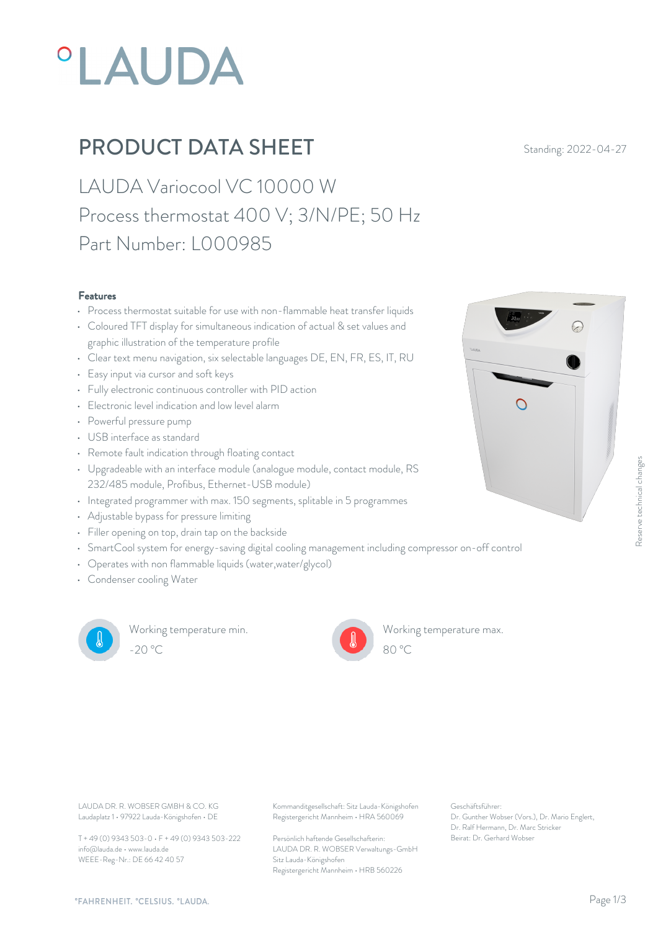# **°LAUDA**

## **PRODUCT DATA SHEET** Standing: 2022-04-27

LAUDA Variocool VC 10000 W Process thermostat 400 V; 3/N/PE; 50 Hz Part Number: L000985

#### Features

- Process thermostat suitable for use with non-flammable heat transfer liquids
- Coloured TFT display for simultaneous indication of actual & set values and graphic illustration of the temperature profile
- Clear text menu navigation, six selectable languages DE, EN, FR, ES, IT, RU
- Easy input via cursor and soft keys
- Fully electronic continuous controller with PID action
- Electronic level indication and low level alarm  $\Box$
- Powerful pressure pump
- USB interface as standard
- Remote fault indication through floating contact
- Upgradeable with an interface module (analogue module, contact module, RS 232/485 module, Profibus, Ethernet-USB module)
- Integrated programmer with max. 150 segments, splitable in 5 programmes
- Adjustable bypass for pressure limiting
- Filler opening on top, drain tap on the backside
- SmartCool system for energy-saving digital cooling management including compressor on-off control
- Operates with non flammable liquids (water,water/glycol)
- Condenser cooling Water



Working temperature min. -20 °C 80 °C

Working temperature max.



Laudaplatz 1 • 97922 Lauda-Königshofen • DE

T + 49 (0) 9343 503-0 • F + 49 (0) 9343 503-222 info@lauda.de • www.lauda.de WEEE-Reg-Nr.: DE 66 42 40 57

LAUDA DR. R. WOBSER GMBH & CO. KG Kommanditgesellschaft: Sitz Lauda-Königshofen Geschäftsführer: Registergericht Mannheim • HRA 560069

> Persönlich haftende Gesellschafterin: Beirat: Dr. Gerhard Wobse LAUDA DR. R. WOBSER Verwaltungs-GmbH Sitz Lauda-Königshofen Registergericht Mannheim • HRB 560226

Geschäftsführer: Dr. Gunther Wobser (Vors.), Dr. Mario Englert, Dr. Ralf Hermann, Dr. Marc Stricker

80 °C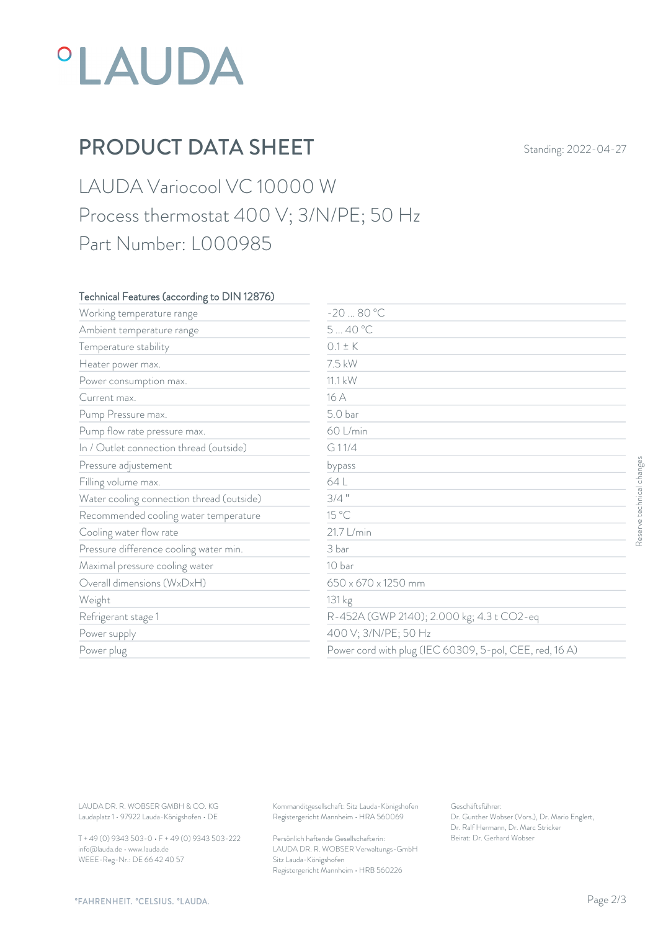## *°LAUDA*

## PRODUCT DATA SHEET Standing: 2022-04-27

### LAUDA Variocool VC 10000 W Process thermostat 400 V; 3/N/PE; 50 Hz Part Number: L000985

#### Technical Features (according to DIN 12876)

| Working temperature range                                                        | $-2080 °C$                                                                             |                                                                                                           |                           |
|----------------------------------------------------------------------------------|----------------------------------------------------------------------------------------|-----------------------------------------------------------------------------------------------------------|---------------------------|
| Ambient temperature range                                                        | 540°C                                                                                  |                                                                                                           |                           |
| Temperature stability                                                            | $0.1 \pm K$                                                                            |                                                                                                           |                           |
| Heater power max.                                                                | 7.5 kW                                                                                 |                                                                                                           |                           |
| Power consumption max.                                                           | 11.1 kW                                                                                |                                                                                                           |                           |
| Current max.                                                                     | 16 A                                                                                   |                                                                                                           |                           |
| Pump Pressure max.                                                               | 5.0 bar                                                                                |                                                                                                           |                           |
| Pump flow rate pressure max.                                                     | 60 L/min                                                                               |                                                                                                           |                           |
| In / Outlet connection thread (outside)                                          | G11/4                                                                                  |                                                                                                           |                           |
| Pressure adjustement                                                             | bypass                                                                                 |                                                                                                           |                           |
| Filling volume max.                                                              | 64 L                                                                                   |                                                                                                           | Reserve technical changes |
| Water cooling connection thread (outside)                                        | $3/4$ "                                                                                |                                                                                                           |                           |
| Recommended cooling water temperature                                            | 15 °C                                                                                  |                                                                                                           |                           |
| Cooling water flow rate                                                          | 21.7 L/min                                                                             |                                                                                                           |                           |
| Pressure difference cooling water min.                                           | 3 bar                                                                                  |                                                                                                           |                           |
| Maximal pressure cooling water                                                   | 10 bar                                                                                 |                                                                                                           |                           |
| Overall dimensions (WxDxH)                                                       | 650 x 670 x 1250 mm                                                                    |                                                                                                           |                           |
| Weight                                                                           | 131 kg                                                                                 |                                                                                                           |                           |
| Refrigerant stage 1                                                              |                                                                                        | R-452A (GWP 2140); 2.000 kg; 4.3 t CO2-eq                                                                 |                           |
| Power supply                                                                     |                                                                                        | 400 V; 3/N/PE; 50 Hz                                                                                      |                           |
| Power plug                                                                       |                                                                                        | Power cord with plug (IEC 60309, 5-pol, CEE, red, 16A)                                                    |                           |
|                                                                                  |                                                                                        |                                                                                                           |                           |
| LAUDA DR. R. WOBSER GMBH & CO. KG<br>Laudaplatz 1 · 97922 Lauda-Königshofen · DE | Kommanditgesellschaft: Sitz Lauda-Königshofen<br>Registergericht Mannheim · HRA 560069 | Geschäftsführer:<br>Dr. Gunther Wobser (Vors.), Dr. Mario Englert,<br>Dr. Ralf Hermann, Dr. Marc Stricker |                           |
| T + 49 (0) 9343 503-0 · F + 49 (0) 9343 503-222                                  | Persönlich haftende Gesellschafterin:                                                  | Beirat: Dr. Gerhard Wobser                                                                                |                           |

T + 49 (0) 9343 503-0 • F + 49 (0) 9343 503-222 info@lauda.de • www.lauda.de WEEE-Reg-Nr.: DE 66 42 40 57

> Persönlich haftende Gesellschafterin: Beirat: Dr. Gerhard Wobse LAUDA DR. R. WOBSER Verwaltungs-GmbH Sitz Lauda-Königshofen Registergericht Mannheim • HRB 560226